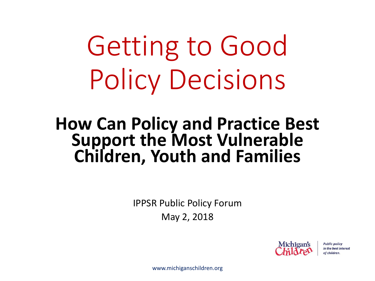Getting to Good Policy Decisions

#### **How Can Policy and Practice Best Support the Most Vulnerable Children, Youth and Families**

IPPSR Public Policy Forum May 2, 2018



**Public policy** in the best interest of children.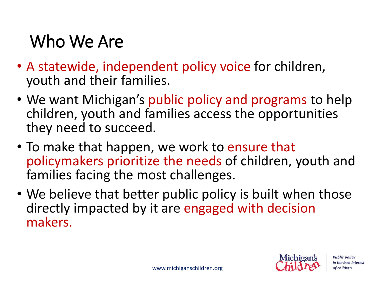#### Who We Are

- A statewide, independent policy voice for children, youth and their families.
- We want Michigan's public policy and programs to help children, youth and families access the opportunities they need to succeed.
- To make that happen, we work to ensure that policymakers prioritize the needs of children, youth and families facing the most challenges.
- We believe that better public policy is built when those directly impacted by it are engaged with decision makers.

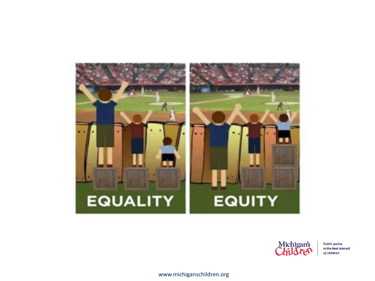



**Public policy** in the best interest of children.

www.michiganschildren.org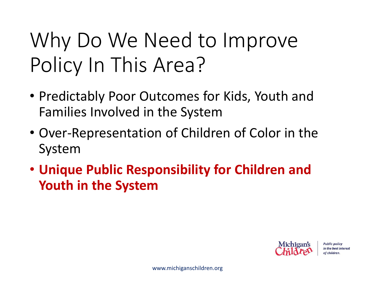#### Why Do We Need to Improve Policy In This Area?

- Predictably Poor Outcomes for Kids, Youth and Families Involved in the System
- Over-Representation of Children of Color in the System
- **Unique Public Responsibility for Children and Youth in the System**

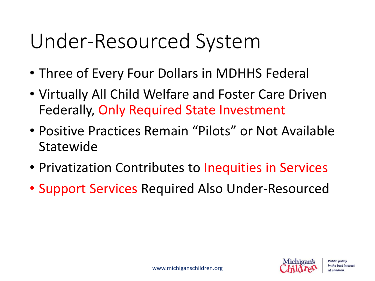#### Under-Resourced System

- Three of Every Four Dollars in MDHHS Federal
- Virtually All Child Welfare and Foster Care Driven Federally, Only Required State Investment
- Positive Practices Remain "Pilots" or Not Available Statewide
- Privatization Contributes to Inequities in Services
- Support Services Required Also Under-Resourced

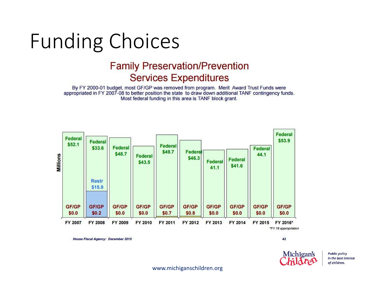#### Funding Choices

#### **Family Preservation/Prevention Services Expenditures**

By FY 2000-01 budget, most GF/GP was removed from program. Merit Award Trust Funds were appropriated in FY 2007-08 to better position the state to draw down additional TANF contingency funds. Most federal funding in this area is TANF block grant.



**House Fiscal Agency: December 2015** 

42



**Public policy** in the best interest of children.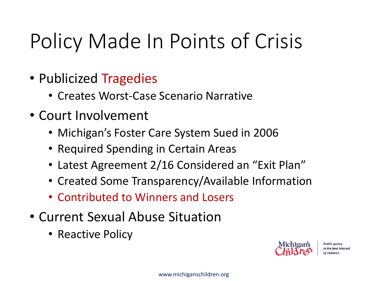#### Policy Made In Points of Crisis

- Publicized Tragedies
	- Creates Worst-Case Scenario Narrative
- Court Involvement
	- Michigan's Foster Care System Sued in 2006
	- Required Spending in Certain Areas
	- Latest Agreement 2/16 Considered an "Exit Plan"
	- Created Some Transparency/Available Information
	- Contributed to Winners and Losers
- Current Sexual Abuse Situation
	- Reactive Policy

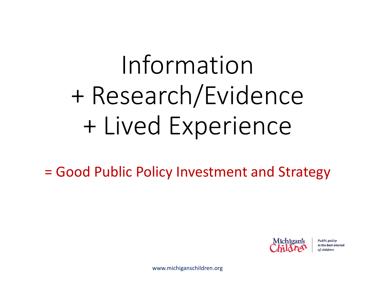# Information + Research/Evidence + Lived Experience

= Good Public Policy Investment and Strategy



**Public policy** in the best interest of children.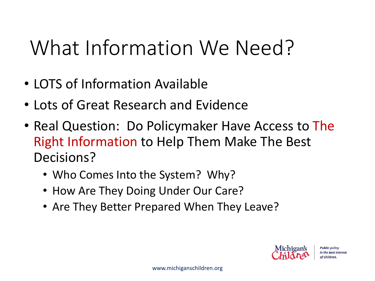#### What Information We Need?

- LOTS of Information Available
- Lots of Great Research and Evidence
- Real Question: Do Policymaker Have Access to The Right Information to Help Them Make The Best Decisions?
	- Who Comes Into the System? Why?
	- How Are They Doing Under Our Care?
	- Are They Better Prepared When They Leave?

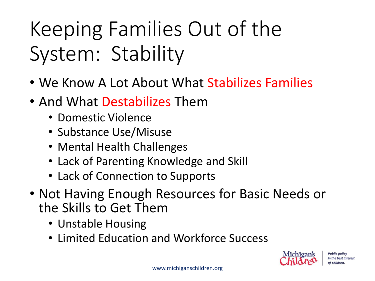### Keeping Families Out of the System: Stability

- We Know A Lot About What Stabilizes Families
- And What Destabilizes Them
	- Domestic Violence
	- Substance Use/Misuse
	- Mental Health Challenges
	- Lack of Parenting Knowledge and Skill
	- Lack of Connection to Supports
- Not Having Enough Resources for Basic Needs or the Skills to Get Them
	- Unstable Housing
	- Limited Education and Workforce Success

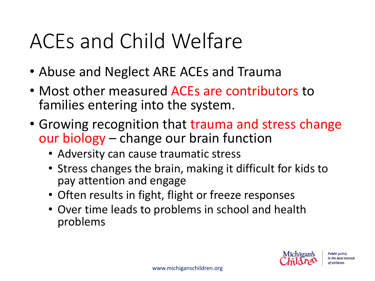#### ACEs and Child Welfare

- Abuse and Neglect ARE ACEs and Trauma
- Most other measured ACEs are contributors to families entering into the system.
- Growing recognition that trauma and stress change our biology – change our brain function
	- Adversity can cause traumatic stress
	- Stress changes the brain, making it difficult for kids to pay attention and engage
	- Often results in fight, flight or freeze responses
	- Over time leads to problems in school and health problems

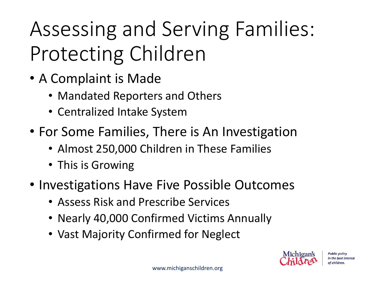### Assessing and Serving Families: Protecting Children

- A Complaint is Made
	- Mandated Reporters and Others
	- Centralized Intake System
- For Some Families, There is An Investigation
	- Almost 250,000 Children in These Families
	- This is Growing
- Investigations Have Five Possible Outcomes
	- Assess Risk and Prescribe Services
	- Nearly 40,000 Confirmed Victims Annually
	- Vast Majority Confirmed for Neglect

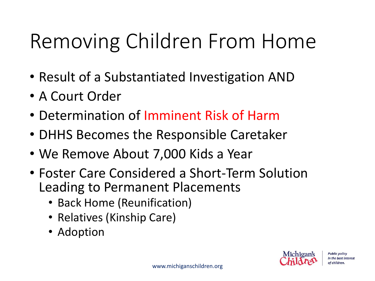#### Removing Children From Home

- Result of a Substantiated Investigation AND
- A Court Order
- Determination of Imminent Risk of Harm
- DHHS Becomes the Responsible Caretaker
- We Remove About 7,000 Kids a Year
- Foster Care Considered a Short-Term Solution Leading to Permanent Placements
	- Back Home (Reunification)
	- Relatives (Kinship Care)
	- Adoption

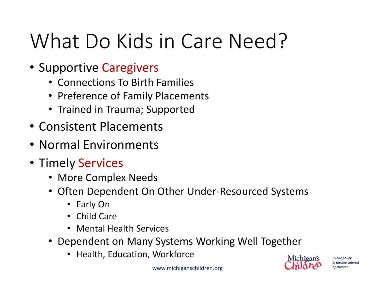#### What Do Kids in Care Need?

- Supportive Caregivers
	- Connections To Birth Families
	- Preference of Family Placements
	- Trained in Trauma; Supported
- Consistent Placements
- Normal Environments
- Timely Services
	- More Complex Needs
	- Often Dependent On Other Under-Resourced Systems
		- Early On
		- Child Care
		- Mental Health Services
	- Dependent on Many Systems Working Well Together
		- Health, Education, Workforce

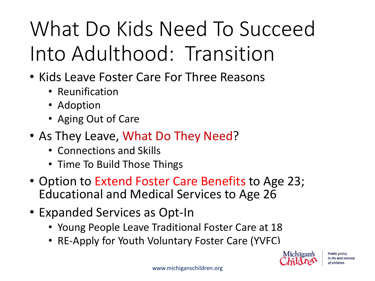## What Do Kids Need To Succeed Into Adulthood: Transition

- Kids Leave Foster Care For Three Reasons
	- Reunification
	- Adoption
	- Aging Out of Care
- As They Leave, What Do They Need?
	- Connections and Skills
	- Time To Build Those Things
- Option to Extend Foster Care Benefits to Age 23; Educational and Medical Services to Age 26
- Expanded Services as Opt-In
	- Young People Leave Traditional Foster Care at 18
	- RE-Apply for Youth Voluntary Foster Care (YVFC)

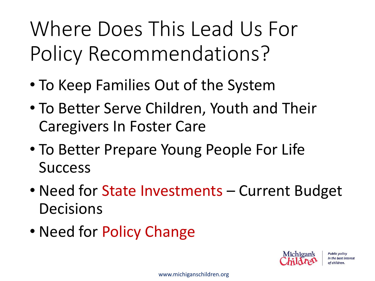Where Does This Lead Us For Policy Recommendations?

- To Keep Families Out of the System
- To Better Serve Children, Youth and Their Caregivers In Foster Care
- To Better Prepare Young People For Life Success
- Need for State Investments Current Budget Decisions
- Need for Policy Change

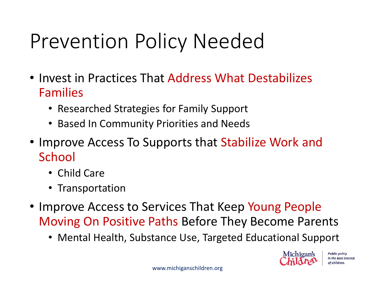#### Prevention Policy Needed

- Invest in Practices That Address What Destabilizes Families
	- Researched Strategies for Family Support
	- Based In Community Priorities and Needs
- Improve Access To Supports that Stabilize Work and School
	- Child Care
	- Transportation
- Improve Access to Services That Keep Young People Moving On Positive Paths Before They Become Parents
	- Mental Health, Substance Use, Targeted Educational Support

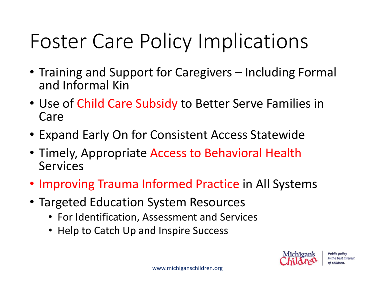#### Foster Care Policy Implications

- Training and Support for Caregivers Including Formal and Informal Kin
- Use of Child Care Subsidy to Better Serve Families in Care
- Expand Early On for Consistent Access Statewide
- Timely, Appropriate Access to Behavioral Health Services
- Improving Trauma Informed Practice in All Systems
- Targeted Education System Resources
	- For Identification, Assessment and Services
	- Help to Catch Up and Inspire Success

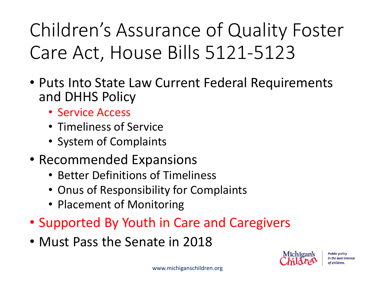Children's Assurance of Quality Foster Care Act, House Bills 5121-5123

- Puts Into State Law Current Federal Requirements and DHHS Policy
	- Service Access
	- Timeliness of Service
	- System of Complaints
- Recommended Expansions
	- Better Definitions of Timeliness
	- Onus of Responsibility for Complaints
	- Placement of Monitoring
- Supported By Youth in Care and Caregivers
- Must Pass the Senate in 2018

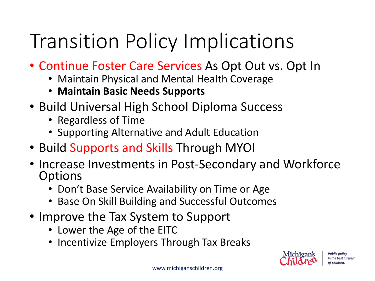#### Transition Policy Implications

- Continue Foster Care Services As Opt Out vs. Opt In
	- Maintain Physical and Mental Health Coverage
	- **Maintain Basic Needs Supports**
- Build Universal High School Diploma Success
	- Regardless of Time
	- Supporting Alternative and Adult Education
- Build Supports and Skills Through MYOI
- Increase Investments in Post-Secondary and Workforce **Options** 
	- Don't Base Service Availability on Time or Age
	- Base On Skill Building and Successful Outcomes
- Improve the Tax System to Support
	- Lower the Age of the EITC
	- Incentivize Employers Through Tax Breaks

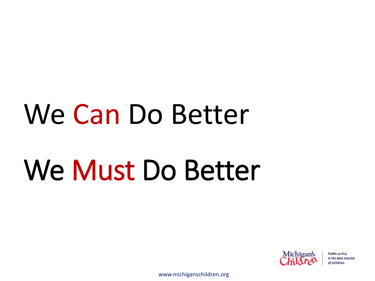# We Can Do Better

# We Must Do Better



**Public policy** in the best interest of children.

www.michiganschildren.org